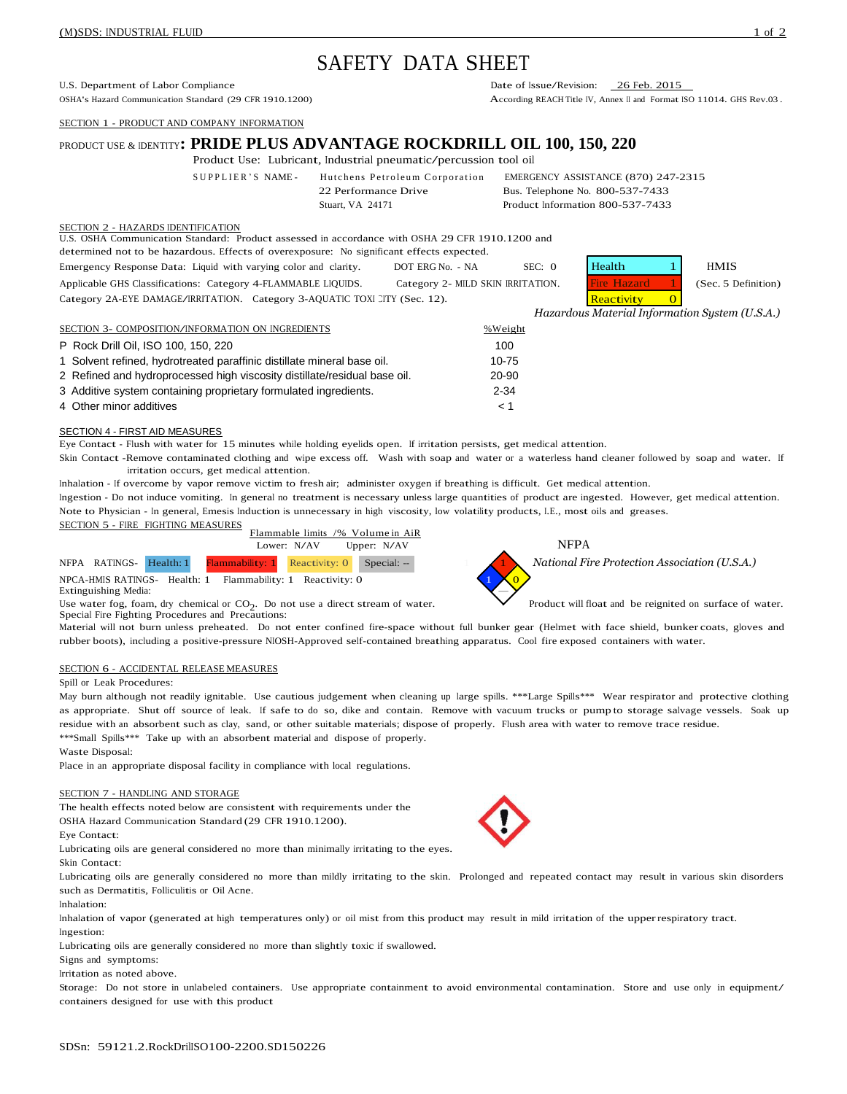# SAFETY DATA SHEET

U.S. Department of Labor Compliance<br>
OSHA's Hazard Communication Standard (29 CFR 1910.1200) Date of Issue/Revision: 26 Feb. 2015<br>
According REACH Title IV. Annex II and Format I

SECTION 1 - PRODUCT AND COMPANY INFORMATION

# PRODUCT USE & IDENTITY**: PRIDE PLUS ADVANTAGE ROCKDRILL OIL 100, 150, 220**

Product Use: Lubricant, Industrial pneumatic/percussion tool oil

SUPPLIER'S NAME- Hutchens Petroleum Corporation EMERGENCY ASSISTANCE (870) 247-2315 22 Performance Drive Bus. Telephone No. 800-537-7433 Stuart, VA 24171 Product Information 800-537-7433

According REACH Title IV, Annex II and Format ISO 11014, GHS Rev.03.

# SECTION 2 - HAZARDS IDENTIFICATION

U.S. OSHA Communication Standard: Product assessed in accordance with OSHA 29 CFR 1910.1200 and

determined not to be hazardous. Effects of overexposure: No significant effects expected.

| Emergency Response Data: Liquid with varying color and clarity.            | DOT ERG No. - NA                  | SEC: 0 | Health             | <b>HMIS</b>         |
|----------------------------------------------------------------------------|-----------------------------------|--------|--------------------|---------------------|
| Applicable GHS Classifications: Category 4-FLAMMABLE LIQUIDS.              | Category 2- MILD SKIN IRRITATION. |        | <b>Fire Hazard</b> | (Sec. 5 Definition) |
| Category 2A-EYE DAMAGE/IRRITATION. Category 3-AQUATIC TOXI CITY (Sec. 12). |                                   |        | Reactivity         |                     |

| Health                          | <b>HMIS</b>        |
|---------------------------------|--------------------|
| Fire Hazard                     | (Sec. 5 Definition |
| $D_{\alpha\alpha\alpha}$ tivity |                    |

*Hazardous Material Information System (U.S.A.)*

| SECTION 3- COMPOSITION/INFORMATION ON INGREDIENTS                         | %Weight   |
|---------------------------------------------------------------------------|-----------|
| P Rock Drill Oil, ISO 100, 150, 220                                       | 100       |
| 1 Solvent refined, hydrotreated paraffinic distillate mineral base oil.   | $10 - 75$ |
| 2 Refined and hydroprocessed high viscosity distillate/residual base oil. | 20-90     |
| 3 Additive system containing proprietary formulated ingredients.          | $2 - 34$  |
| 4 Other minor additives                                                   | 1 ج       |

# SECTION 4 - FIRST AID MEASURES

Eye Contact - Flush with water for 15 minutes while holding eyelids open. If irritation persists, get medical attention.

Skin Contact -Remove contaminated clothing and wipe excess off. Wash with soap and water or a waterless hand cleaner followed by soap and water. If irritation occurs, get medical attention.

Inhalation - If overcome by vapor remove victim to fresh air; administer oxygen if breathing is difficult. Get medical attention.

Ingestion - Do not induce vomiting. In general no treatment is necessary unless large quantities of product are ingested. However, get medical attention. Note to Physician - In general, Emesis Induction is unnecessary in high viscosity, low volatility products, I.E., most oils and greases.



 $NPCA$ -HMIS RATINGS- Health: 1 Flammability: 1 Reactivity: 0 Extinguishing Media:

Use water fog, foam, dry chemical or  $CO<sub>2</sub>$ . Do not use a direct stream of water. Special Fire Fighting Procedures and Precautions:



Product will float and be reignited on surface of water.

Material will not burn unless preheated. Do not enter confined fire-space without full bunker gear (Helmet with face shield, bunker coats, gloves and rubber boots), including <sup>a</sup> positive-pressure NIOSH-Approved self-contained breathing apparatus. Cool fire exposed containers with water.

# SECTION 6 - ACCIDENTAL RELEASE MEASURES

# Spill or Leak Procedures:

May burn although not readily ignitable. Use cautious judgement when cleaning up large spills. \*\*\*Large Spills\*\*\* Wear respirator and protective clothing as appropriate. Shut off source of leak. If safe to do so, dike and contain. Remove with vacuum trucks or pump to storage salvage vessels. Soak up residue with an absorbent such as clay, sand, or other suitable materials; dispose of properly. Flush area with water to remove trace residue. \*\*\*Small Spills\*\*\* Take up with an absorbent material and dispose of properly.

#### Waste Disposal:

Place in an appropriate disposal facility in compliance with local regulations.

# SECTION 7 - HANDLING AND STORAGE

The health effects noted below are consistent with requirements under the OSHA Hazard Communication Standard (29 CFR 1910.1200).

Eye Contact:

Lubricating oils are general considered no more than minimally irritating to the eyes. Skin Contact:

Lubricating oils are generally considered no more than mildly irritating to the skin. Prolonged and repeated contact may result in various skin disorders such as Dermatitis, Folliculitis or Oil Acne.

# Inhalation:

Inhalation of vapor (generated at high temperatures only) or oil mist from this product may result in mild irritation of the upperrespiratory tract. Ingestion:

Lubricating oils are generally considered no more than slightly toxic if swallowed.

Signs and symptoms:

Irritation as noted above.

Storage: Do not store in unlabeled containers. Use appropriate containment to avoid environmental contamination. Store and use only in equipment/ containers designed for use with this product